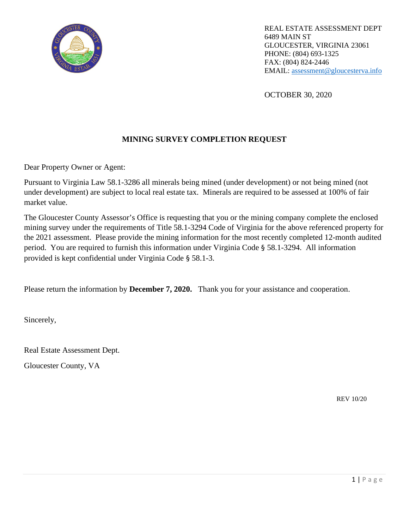

REAL ESTATE ASSESSMENT DEPT 6489 MAIN ST GLOUCESTER, VIRGINIA 23061 PHONE: (804) 693-1325 FAX: (804) 824-2446 EMAIL: [assessment@gloucesterva.info](mailto:assessment@gloucesterva.info)

OCTOBER 30, 2020

## **MINING SURVEY COMPLETION REQUEST**

Dear Property Owner or Agent:

Pursuant to Virginia Law 58.1-3286 all minerals being mined (under development) or not being mined (not under development) are subject to local real estate tax. Minerals are required to be assessed at 100% of fair market value.

The Gloucester County Assessor's Office is requesting that you or the mining company complete the enclosed mining survey under the requirements of Title 58.1-3294 Code of Virginia for the above referenced property for the 2021 assessment. Please provide the mining information for the most recently completed 12-month audited period. You are required to furnish this information under Virginia Code § 58.1-3294. All information provided is kept confidential under Virginia Code § 58.1-3.

Please return the information by **December 7, 2020.** Thank you for your assistance and cooperation.

Sincerely,

Real Estate Assessment Dept.

Gloucester County, VA

REV 10/20